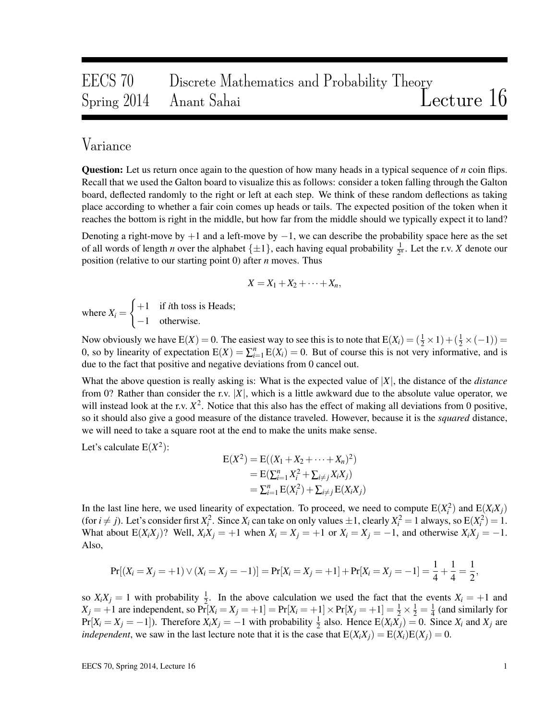# EECS 70 Discrete Mathematics and Probability Theory Spring 2014 Anant Sahai Lecture 16

## Variance

Question: Let us return once again to the question of how many heads in a typical sequence of *n* coin flips. Recall that we used the Galton board to visualize this as follows: consider a token falling through the Galton board, deflected randomly to the right or left at each step. We think of these random deflections as taking place according to whether a fair coin comes up heads or tails. The expected position of the token when it reaches the bottom is right in the middle, but how far from the middle should we typically expect it to land?

Denoting a right-move by  $+1$  and a left-move by  $-1$ , we can describe the probability space here as the set of all words of length *n* over the alphabet  $\{\pm 1\}$ , each having equal probability  $\frac{1}{2^n}$ . Let the r.v. *X* denote our position (relative to our starting point 0) after *n* moves. Thus

$$
X = X_1 + X_2 + \cdots + X_n,
$$

where  $X_i =$  $\int +1$  if *i*th toss is Heads; −1 otherwise.

Now obviously we have  $E(X) = 0$ . The easiest way to see this is to note that  $E(X_i) = (\frac{1}{2} \times 1) + (\frac{1}{2} \times (-1)) =$ 0, so by linearity of expectation  $E(X) = \sum_{i=1}^{n} E(X_i) = 0$ . But of course this is not very informative, and is due to the fact that positive and negative deviations from 0 cancel out.

What the above question is really asking is: What is the expected value of |*X*|, the distance of the *distance* from 0? Rather than consider the r.v. |*X*|, which is a little awkward due to the absolute value operator, we will instead look at the r.v.  $X^2$ . Notice that this also has the effect of making all deviations from 0 positive, so it should also give a good measure of the distance traveled. However, because it is the *squared* distance, we will need to take a square root at the end to make the units make sense.

Let's calculate  $E(X^2)$ :

$$
E(X2) = E((X1 + X2 + \cdots + Xn)2)
$$
  
= E( $\sum_{i=1}^{n} X_i2 + \sum_{i \neq j} X_iX_j$ )  
=  $\sum_{i=1}^{n} E(X_i2) + \sum_{i \neq j} E(X_iX_j)$ 

In the last line here, we used linearity of expectation. To proceed, we need to compute  $E(X_i^2)$  and  $E(X_i X_j)$ (for  $i \neq j$ ). Let's consider first  $X_i^2$ . Since  $X_i$  can take on only values  $\pm 1$ , clearly  $X_i^2 = 1$  always, so  $E(X_i^2) = 1$ . What about  $E(X_iX_j)$ ? Well,  $X_iX_j = +1$  when  $X_i = X_j = +1$  or  $X_i = X_j = -1$ , and otherwise  $X_iX_j = -1$ . Also,

$$
Pr[(X_i = X_j = +1) \vee (X_i = X_j = -1)] = Pr[X_i = X_j = +1] + Pr[X_i = X_j = -1] = \frac{1}{4} + \frac{1}{4} = \frac{1}{2},
$$

so  $X_i X_j = 1$  with probability  $\frac{1}{2}$ . In the above calculation we used the fact that the events  $X_i = +1$  and *X*<sub>*j*</sub> = +1 are independent, so  $Pr[X_i = X_j = +1] = Pr[X_i = +1] \times Pr[X_j = +1] = \frac{1}{2} \times \frac{1}{2} = \frac{1}{4}$  $\frac{1}{4}$  (and similarly for  $Pr[X_i = X_j = -1]$ ). Therefore  $X_i X_j = -1$  with probability  $\frac{1}{2}$  also. Hence  $E(X_i X_j) = 0$ . Since  $X_i$  and  $X_j$  are *independent*, we saw in the last lecture note that it is the case that  $E(X_iX_j) = E(X_i)E(X_j) = 0$ .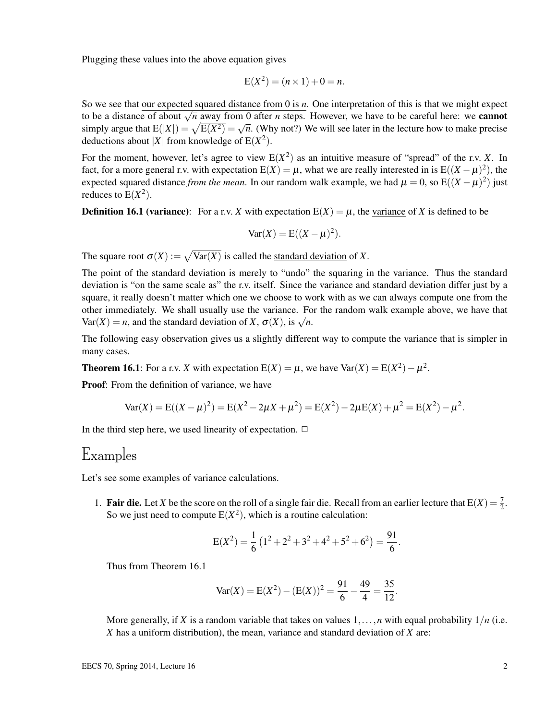Plugging these values into the above equation gives

$$
E(X^2) = (n \times 1) + 0 = n.
$$

So we see that our expected squared distance from 0 is *n*. One interpretation of this is that we might expect to be a distance of about  $\sqrt{n}$  away from 0 after *n* steps. However, we have to be careful here: we **cannot** to be a distance of about  $\sqrt{n}$  away from 0 after *n* steps. However, we have to be careful here: we **cannot** simply argue that  $E(|X|) = \sqrt{E(X^2)} = \sqrt{n}$ . (Why not?) We will see later in the lecture how to make precise deductions about |X| from knowledge of  $E(X^2)$ .

For the moment, however, let's agree to view  $E(X^2)$  as an intuitive measure of "spread" of the r.v. *X*. In fact, for a more general r.v. with expectation  $E(X) = \mu$ , what we are really interested in is  $E((X - \mu)^2)$ , the expected squared distance *from the mean*. In our random walk example, we had  $\mu = 0$ , so  $E((X - \mu)^2)$  just reduces to  $E(X^2)$ .

**Definition 16.1 (variance):** For a r.v. *X* with expectation  $E(X) = \mu$ , the variance of *X* is defined to be

$$
Var(X) = E((X - \mu)^2).
$$

The square root  $\sigma(X) := \sqrt{\text{Var}(X)}$  is called the <u>standard deviation</u> of X.

The point of the standard deviation is merely to "undo" the squaring in the variance. Thus the standard deviation is "on the same scale as" the r.v. itself. Since the variance and standard deviation differ just by a square, it really doesn't matter which one we choose to work with as we can always compute one from the other immediately. We shall usually use the variance. For the random walk example above, we have that Var(*X*) = *n*, and the standard deviation of *X*,  $\sigma$ (*X*), is  $\sqrt{n}$ .

The following easy observation gives us a slightly different way to compute the variance that is simpler in many cases.

**Theorem 16.1**: For a r.v. *X* with expectation  $E(X) = \mu$ , we have  $Var(X) = E(X^2) - \mu^2$ .

Proof: From the definition of variance, we have

$$
Var(X) = E((X - \mu)^2) = E(X^2 - 2\mu X + \mu^2) = E(X^2) - 2\mu E(X) + \mu^2 = E(X^2) - \mu^2.
$$

In the third step here, we used linearity of expectation.  $\Box$ 

#### Examples

Let's see some examples of variance calculations.

1. **Fair die.** Let *X* be the score on the roll of a single fair die. Recall from an earlier lecture that  $E(X) = \frac{7}{2}$ . So we just need to compute  $E(X^2)$ , which is a routine calculation:

$$
E(X^{2}) = \frac{1}{6} (1^{2} + 2^{2} + 3^{2} + 4^{2} + 5^{2} + 6^{2}) = \frac{91}{6}.
$$

Thus from Theorem 16.1

$$
Var(X) = E(X2) - (E(X))2 = \frac{91}{6} - \frac{49}{4} = \frac{35}{12}.
$$

More generally, if *X* is a random variable that takes on values  $1, \ldots, n$  with equal probability  $1/n$  (i.e. *X* has a uniform distribution), the mean, variance and standard deviation of *X* are: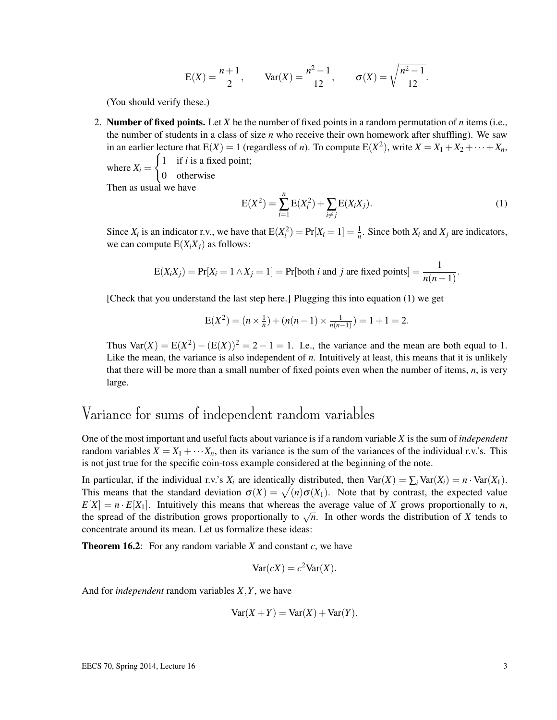$$
E(X) = \frac{n+1}{2}
$$
,  $Var(X) = \frac{n^2 - 1}{12}$ ,  $\sigma(X) = \sqrt{\frac{n^2 - 1}{12}}$ .

(You should verify these.)

2. Number of fixed points. Let *X* be the number of fixed points in a random permutation of *n* items (i.e., the number of students in a class of size *n* who receive their own homework after shuffling). We saw in an earlier lecture that  $E(X) = 1$  (regardless of *n*). To compute  $E(X^2)$ , write  $X = X_1 + X_2 + \cdots + X_n$ ,

where  $X_i =$  $\int 1$  if *i* is a fixed point; 0 otherwise Then as usual we have

$$
E(X^{2}) = \sum_{i=1}^{n} E(X_{i}^{2}) + \sum_{i \neq j} E(X_{i}X_{j}).
$$
\n(1)

Since  $X_i$  is an indicator r.v., we have that  $E(X_i^2) = Pr[X_i = 1] = \frac{1}{n}$ . Since both  $X_i$  and  $X_j$  are indicators, we can compute  $E(X_iX_j)$  as follows:

$$
E(X_iX_j) = Pr[X_i = 1 \land X_j = 1] = Pr[both i and j are fixed points] = \frac{1}{n(n-1)}.
$$

[Check that you understand the last step here.] Plugging this into equation (1) we get

$$
E(X^{2}) = (n \times \frac{1}{n}) + (n(n-1) \times \frac{1}{n(n-1)}) = 1 + 1 = 2.
$$

Thus  $Var(X) = E(X^2) - (E(X))^2 = 2 - 1 = 1$ . I.e., the variance and the mean are both equal to 1. Like the mean, the variance is also independent of *n*. Intuitively at least, this means that it is unlikely that there will be more than a small number of fixed points even when the number of items, *n*, is very large.

### Variance for sums of independent random variables

One of the most important and useful facts about variance is if a random variable *X* is the sum of *independent* random variables  $X = X_1 + \cdots + X_n$ , then its variance is the sum of the variances of the individual r.v.'s. This is not just true for the specific coin-toss example considered at the beginning of the note.

In particular, if the individual r.v.'s  $X_i$  are identically distributed, then  $\text{Var}(X) = \sum_i \text{Var}(X_i) = n \cdot \text{Var}(X_1)$ . This means that the standard deviation  $\sigma(X) = \sqrt(n)\sigma(X_1)$ . Note that by contrast, the expected value  $E[X] = n \cdot E[X_1]$ . Intuitively this means that whereas the average value of *X* grows proportionally to *n*,  $E[X] = n \cdot E[X]$ . Intuitively this means that whereas the average value of *X* grows proportionally to *n*, the spread of the distribution grows proportionally to  $\sqrt{n}$ . In other words the distribution of *X* tends to concentrate around its mean. Let us formalize these ideas:

**Theorem 16.2:** For any random variable *X* and constant  $c$ , we have

$$
Var(cX) = c^2 Var(X).
$$

And for *independent* random variables *X*,*Y*, we have

$$
Var(X + Y) = Var(X) + Var(Y).
$$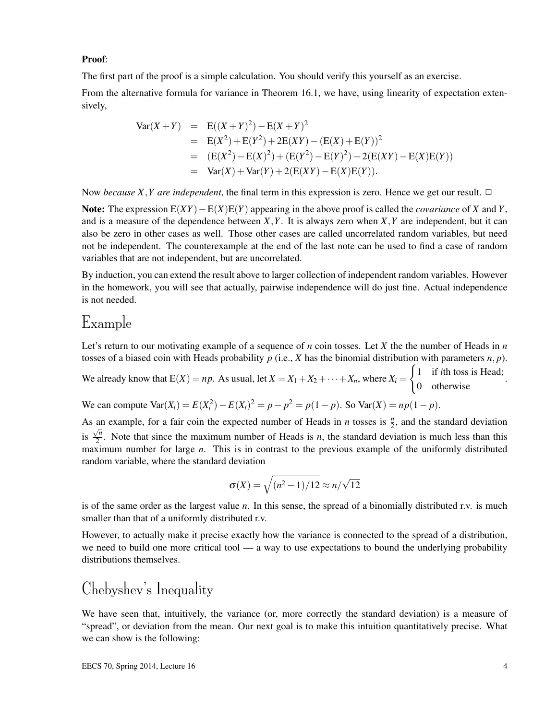#### Proof:

The first part of the proof is a simple calculation. You should verify this yourself as an exercise.

From the alternative formula for variance in Theorem 16.1, we have, using linearity of expectation extensively,

$$
Var(X + Y) = E((X + Y)^2) - E(X + Y)^2
$$
  
= E(X<sup>2</sup>) + E(Y<sup>2</sup>) + 2E(XY) - (E(X) + E(Y))<sup>2</sup>  
= (E(X<sup>2</sup>) - E(X)<sup>2</sup>) + (E(Y<sup>2</sup>) - E(Y)<sup>2</sup>) + 2(E(XY) - E(X)E(Y))  
= Var(X) + Var(Y) + 2(E(XY) - E(X)E(Y)).

Now *because X,Y are independent*, the final term in this expression is zero. Hence we get our result.  $\Box$ 

Note: The expression  $E(XY) - E(X)E(Y)$  appearing in the above proof is called the *covariance* of *X* and *Y*, and is a measure of the dependence between *X*,*Y*. It is always zero when *X*,*Y* are independent, but it can also be zero in other cases as well. Those other cases are called uncorrelated random variables, but need not be independent. The counterexample at the end of the last note can be used to find a case of random variables that are not independent, but are uncorrelated.

By induction, you can extend the result above to larger collection of independent random variables. However in the homework, you will see that actually, pairwise independence will do just fine. Actual independence is not needed.

## Example

Let's return to our motivating example of a sequence of *n* coin tosses. Let *X* the the number of Heads in *n* tosses of a biased coin with Heads probability  $p$  (i.e.,  $X$  has the binomial distribution with parameters  $n, p$ ).

We already know that  $E(X) = np$ . As usual, let  $X = X_1 + X_2 + \cdots + X_n$ , where  $X_i =$  $\int 1$  if *i*th toss is Head; 0 otherwise .

We can compute  $\text{Var}(X_i) = E(X_i^2) - E(X_i)^2 = p - p^2 = p(1-p)$ . So  $\text{Var}(X) = np(1-p)$ .

As an example, for a fair coin the expected number of Heads in *n* tosses is  $\frac{n}{2}$ , and the standard deviation is  $\frac{\sqrt{n}}{2}$  $\frac{2}{2}$ . Note that since the maximum number of Heads is *n*, the standard deviation is much less than this maximum number for large *n*. This is in contrast to the previous example of the uniformly distributed random variable, where the standard deviation

$$
\sigma(X) = \sqrt{(n^2 - 1)/12} \approx n/\sqrt{12}
$$

is of the same order as the largest value *n*. In this sense, the spread of a binomially distributed r.v. is much smaller than that of a uniformly distributed r.v.

However, to actually make it precise exactly how the variance is connected to the spread of a distribution, we need to build one more critical tool — a way to use expectations to bound the underlying probability distributions themselves.

## Chebyshev's Inequality

We have seen that, intuitively, the variance (or, more correctly the standard deviation) is a measure of "spread", or deviation from the mean. Our next goal is to make this intuition quantitatively precise. What we can show is the following: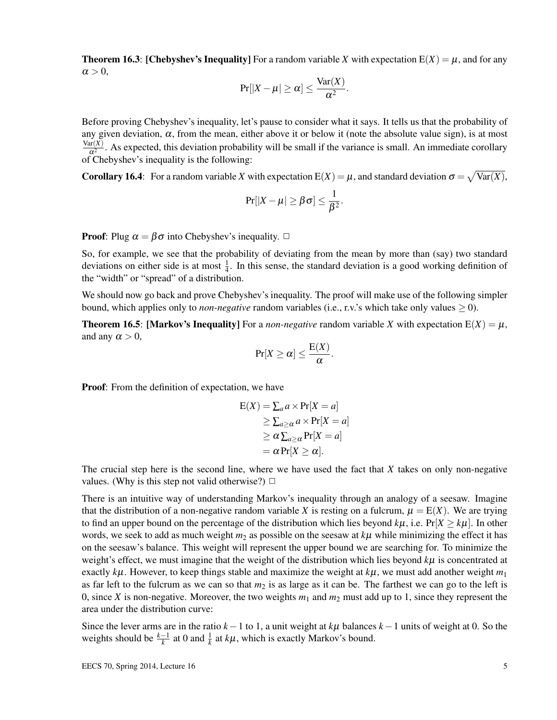**Theorem 16.3: [Chebyshev's Inequality]** For a random variable *X* with expectation  $E(X) = \mu$ , and for any  $\alpha > 0$ ,

$$
Pr[|X - \mu| \ge \alpha] \le \frac{Var(X)}{\alpha^2}.
$$

Before proving Chebyshev's inequality, let's pause to consider what it says. It tells us that the probability of any given deviation,  $\alpha$ , from the mean, either above it or below it (note the absolute value sign), is at most Var(*X*)  $\frac{d(x)}{x^2}$ . As expected, this deviation probability will be small if the variance is small. An immediate corollary of Chebyshev's inequality is the following:

Corollary 16.4: For a random variable *X* with expectation  $E(X) = \mu$ , and standard deviation  $\sigma = \sqrt{Var(X)}$ ,

$$
\Pr[|X-\mu|\geq \beta\sigma]\leq \frac{1}{\beta^2}.
$$

**Proof:** Plug  $\alpha = \beta \sigma$  into Chebyshev's inequality.  $\Box$ 

So, for example, we see that the probability of deviating from the mean by more than (say) two standard deviations on either side is at most  $\frac{1}{4}$ . In this sense, the standard deviation is a good working definition of the "width" or "spread" of a distribution.

We should now go back and prove Chebyshev's inequality. The proof will make use of the following simpler bound, which applies only to *non-negative* random variables (i.e., r.v.'s which take only values  $\geq 0$ ).

**Theorem 16.5: [Markov's Inequality]** For a *non-negative* random variable *X* with expectation  $E(X) = \mu$ , and any  $\alpha > 0$ ,

$$
\Pr[X \ge \alpha] \le \frac{E(X)}{\alpha}.
$$

Proof: From the definition of expectation, we have

$$
E(X) = \sum_{a} a \times Pr[X = a]
$$
  
\n
$$
\geq \sum_{a \geq \alpha} a \times Pr[X = a]
$$
  
\n
$$
\geq \alpha \sum_{a \geq \alpha} Pr[X = a]
$$
  
\n
$$
= \alpha Pr[X \geq \alpha].
$$

The crucial step here is the second line, where we have used the fact that *X* takes on only non-negative values. (Why is this step not valid otherwise?)  $\Box$ 

There is an intuitive way of understanding Markov's inequality through an analogy of a seesaw. Imagine that the distribution of a non-negative random variable *X* is resting on a fulcrum,  $\mu = E(X)$ . We are trying to find an upper bound on the percentage of the distribution which lies beyond  $k\mu$ , i.e.  $Pr[X \ge k\mu]$ . In other words, we seek to add as much weight  $m_2$  as possible on the seesaw at  $k\mu$  while minimizing the effect it has on the seesaw's balance. This weight will represent the upper bound we are searching for. To minimize the weight's effect, we must imagine that the weight of the distribution which lies beyond *k*µ is concentrated at exactly  $k\mu$ . However, to keep things stable and maximize the weight at  $k\mu$ , we must add another weight  $m_1$ as far left to the fulcrum as we can so that  $m_2$  is as large as it can be. The farthest we can go to the left is 0, since *X* is non-negative. Moreover, the two weights  $m_1$  and  $m_2$  must add up to 1, since they represent the area under the distribution curve:

Since the lever arms are in the ratio  $k-1$  to 1, a unit weight at  $k\mu$  balances  $k-1$  units of weight at 0. So the weights should be  $\frac{k-1}{k}$  at 0 and  $\frac{1}{k}$  at  $k\mu$ , which is exactly Markov's bound.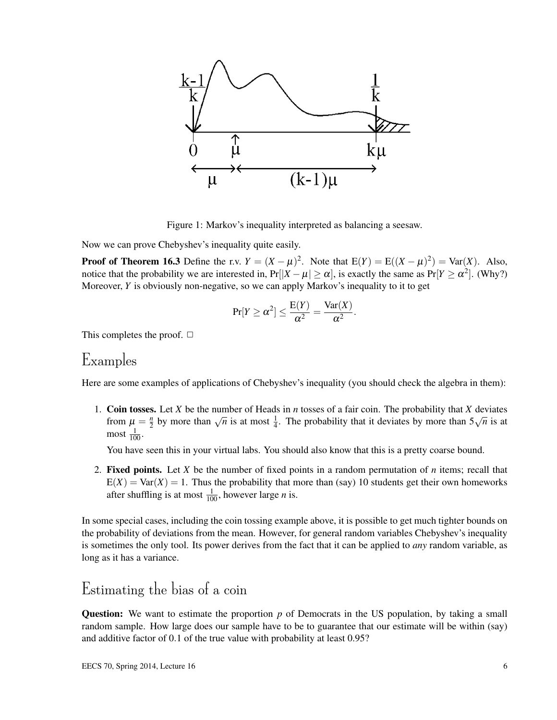

Figure 1: Markov's inequality interpreted as balancing a seesaw.

Now we can prove Chebyshev's inequality quite easily.

**Proof of Theorem 16.3** Define the r.v.  $Y = (X - \mu)^2$ . Note that  $E(Y) = E((X - \mu)^2) = Var(X)$ . Also, notice that the probability we are interested in,  $Pr[|X - \mu| \ge \alpha]$ , is exactly the same as  $Pr[Y \ge \alpha^2]$ . (Why?) Moreover, *Y* is obviously non-negative, so we can apply Markov's inequality to it to get

$$
Pr[Y \ge \alpha^2] \le \frac{E(Y)}{\alpha^2} = \frac{Var(X)}{\alpha^2}.
$$

This completes the proof.  $\Box$ 

#### Examples

Here are some examples of applications of Chebyshev's inequality (you should check the algebra in them):

1. Coin tosses. Let *X* be the number of Heads in *n* tosses of a fair coin. The probability that *X* deviates from  $\mu = \frac{n}{2}$ S. Let  $\Lambda$  be the number of freads in *n* tosses of a fail com. The probability that  $\Lambda$  deviates by more than  $\sqrt{n}$  is at most  $\frac{1}{4}$ . The probability that it deviates by more than  $5\sqrt{n}$  is at most  $\frac{1}{100}$ .

You have seen this in your virtual labs. You should also know that this is a pretty coarse bound.

2. Fixed points. Let *X* be the number of fixed points in a random permutation of *n* items; recall that  $E(X) = Var(X) = 1$ . Thus the probability that more than (say) 10 students get their own homeworks after shuffling is at most  $\frac{1}{100}$ , however large *n* is.

In some special cases, including the coin tossing example above, it is possible to get much tighter bounds on the probability of deviations from the mean. However, for general random variables Chebyshev's inequality is sometimes the only tool. Its power derives from the fact that it can be applied to *any* random variable, as long as it has a variance.

## Estimating the bias of a coin

Question: We want to estimate the proportion p of Democrats in the US population, by taking a small random sample. How large does our sample have to be to guarantee that our estimate will be within (say) and additive factor of 0.1 of the true value with probability at least 0.95?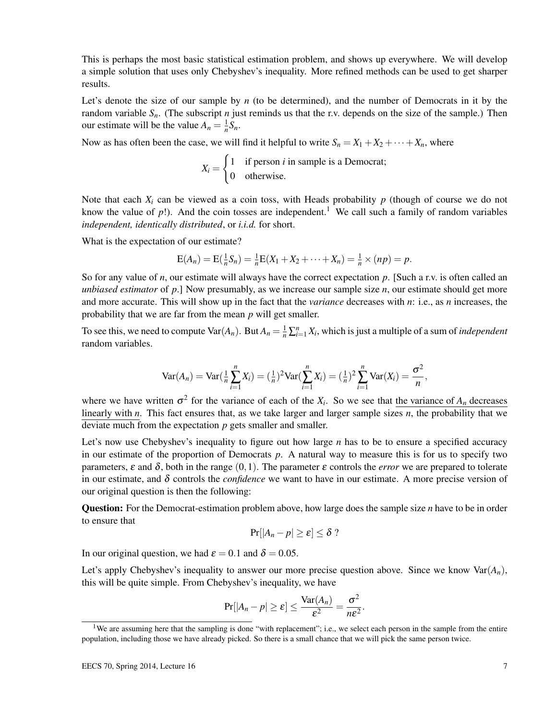This is perhaps the most basic statistical estimation problem, and shows up everywhere. We will develop a simple solution that uses only Chebyshev's inequality. More refined methods can be used to get sharper results.

Let's denote the size of our sample by *n* (to be determined), and the number of Democrats in it by the random variable *Sn*. (The subscript *n* just reminds us that the r.v. depends on the size of the sample.) Then our estimate will be the value  $A_n = \frac{1}{n}S_n$ .

Now as has often been the case, we will find it helpful to write  $S_n = X_1 + X_2 + \cdots + X_n$ , where

$$
X_i = \begin{cases} 1 & \text{if person } i \text{ in sample is a Democrat;} \\ 0 & \text{otherwise.} \end{cases}
$$

Note that each  $X_i$  can be viewed as a coin toss, with Heads probability  $p$  (though of course we do not know the value of  $p$ !). And the coin tosses are independent.<sup>1</sup> We call such a family of random variables *independent, identically distributed*, or *i.i.d.* for short.

What is the expectation of our estimate?

$$
E(A_n) = E(\frac{1}{n}S_n) = \frac{1}{n}E(X_1 + X_2 + \cdots + X_n) = \frac{1}{n} \times (np) = p.
$$

So for any value of *n*, our estimate will always have the correct expectation *p*. [Such a r.v. is often called an *unbiased estimator* of *p*.] Now presumably, as we increase our sample size *n*, our estimate should get more and more accurate. This will show up in the fact that the *variance* decreases with *n*: i.e., as *n* increases, the probability that we are far from the mean *p* will get smaller.

To see this, we need to compute  $\text{Var}(A_n)$ . But  $A_n = \frac{1}{n} \sum_{i=1}^n X_i$ , which is just a multiple of a sum of *independent* random variables.

$$
Var(A_n) = Var(\frac{1}{n}\sum_{i=1}^n X_i) = (\frac{1}{n})^2 Var(\sum_{i=1}^n X_i) = (\frac{1}{n})^2 \sum_{i=1}^n Var(X_i) = \frac{\sigma^2}{n},
$$

where we have written  $\sigma^2$  for the variance of each of the  $X_i$ . So we see that the variance of  $A_n$  decreases linearly with *n*. This fact ensures that, as we take larger and larger sample sizes *n*, the probability that we deviate much from the expectation *p* gets smaller and smaller.

Let's now use Chebyshev's inequality to figure out how large *n* has to be to ensure a specified accuracy in our estimate of the proportion of Democrats *p*. A natural way to measure this is for us to specify two parameters,  $\varepsilon$  and  $\delta$ , both in the range (0,1). The parameter  $\varepsilon$  controls the *error* we are prepared to tolerate in our estimate, and  $\delta$  controls the *confidence* we want to have in our estimate. A more precise version of our original question is then the following:

Question: For the Democrat-estimation problem above, how large does the sample size *n* have to be in order to ensure that

$$
\Pr[|A_n - p| \geq \varepsilon] \leq \delta ?
$$

In our original question, we had  $\varepsilon = 0.1$  and  $\delta = 0.05$ .

Let's apply Chebyshev's inequality to answer our more precise question above. Since we know  $\text{Var}(A_n)$ , this will be quite simple. From Chebyshev's inequality, we have

$$
Pr[|A_n - p| \ge \varepsilon] \le \frac{Var(A_n)}{\varepsilon^2} = \frac{\sigma^2}{n\varepsilon^2}.
$$

<sup>&</sup>lt;sup>1</sup>We are assuming here that the sampling is done "with replacement"; i.e., we select each person in the sample from the entire population, including those we have already picked. So there is a small chance that we will pick the same person twice.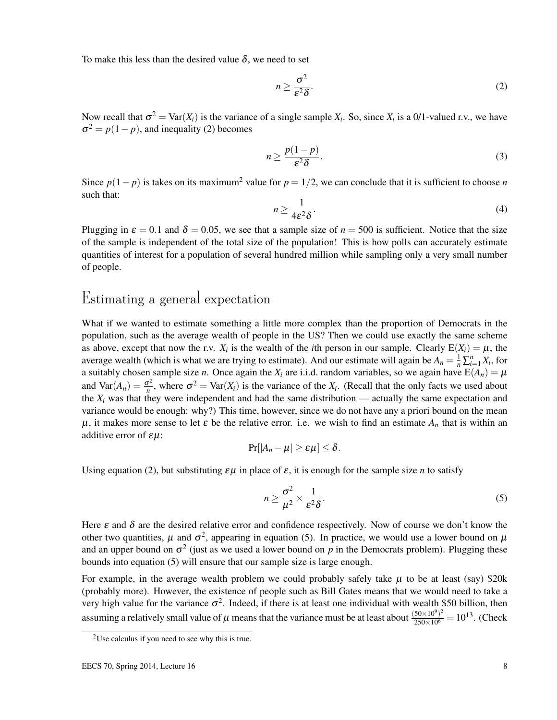To make this less than the desired value  $\delta$ , we need to set

$$
n \ge \frac{\sigma^2}{\varepsilon^2 \delta}.\tag{2}
$$

Now recall that  $\sigma^2 = \text{Var}(X_i)$  is the variance of a single sample  $X_i$ . So, since  $X_i$  is a 0/1-valued r.v., we have  $\sigma^2 = p(1-p)$ , and inequality (2) becomes

$$
n \ge \frac{p(1-p)}{\varepsilon^2 \delta}.\tag{3}
$$

Since  $p(1-p)$  is takes on its maximum<sup>2</sup> value for  $p = 1/2$ , we can conclude that it is sufficient to choose *n* such that:

$$
n \ge \frac{1}{4\varepsilon^2 \delta}.\tag{4}
$$

Plugging in  $\varepsilon = 0.1$  and  $\delta = 0.05$ , we see that a sample size of  $n = 500$  is sufficient. Notice that the size of the sample is independent of the total size of the population! This is how polls can accurately estimate quantities of interest for a population of several hundred million while sampling only a very small number of people.

## Estimating a general expectation

What if we wanted to estimate something a little more complex than the proportion of Democrats in the population, such as the average wealth of people in the US? Then we could use exactly the same scheme as above, except that now the r.v.  $X_i$  is the wealth of the *i*th person in our sample. Clearly  $E(X_i) = \mu$ , the average wealth (which is what we are trying to estimate). And our estimate will again be  $A_n = \frac{1}{n} \sum_{i=1}^n X_i$ , for a suitably chosen sample size *n*. Once again the  $X_i$  are i.i.d. random variables, so we again have  $E(A_n) = \mu$ and  $\text{Var}(A_n) = \frac{\sigma^2}{n}$  $\sigma^2$ , where  $\sigma^2$  = Var(*X<sub>i</sub>*) is the variance of the *X<sub>i</sub>*. (Recall that the only facts we used about the  $X_i$  was that they were independent and had the same distribution — actually the same expectation and variance would be enough: why?) This time, however, since we do not have any a priori bound on the mean  $\mu$ , it makes more sense to let  $\varepsilon$  be the relative error. i.e. we wish to find an estimate  $A_n$  that is within an additive error of  $\varepsilon \mu$ :

$$
\Pr[|A_n - \mu| \geq \varepsilon \mu] \leq \delta.
$$

Using equation (2), but substituting  $\epsilon \mu$  in place of  $\epsilon$ , it is enough for the sample size *n* to satisfy

$$
n \ge \frac{\sigma^2}{\mu^2} \times \frac{1}{\varepsilon^2 \delta}.
$$
 (5)

Here  $\varepsilon$  and  $\delta$  are the desired relative error and confidence respectively. Now of course we don't know the other two quantities,  $\mu$  and  $\sigma^2$ , appearing in equation (5). In practice, we would use a lower bound on  $\mu$ and an upper bound on  $\sigma^2$  (just as we used a lower bound on  $p$  in the Democrats problem). Plugging these bounds into equation (5) will ensure that our sample size is large enough.

For example, in the average wealth problem we could probably safely take  $\mu$  to be at least (say) \$20k (probably more). However, the existence of people such as Bill Gates means that we would need to take a very high value for the variance  $\sigma^2$ . Indeed, if there is at least one individual with wealth \$50 billion, then assuming a relatively small value of  $\mu$  means that the variance must be at least about  $\frac{(50\times10^9)^2}{250\times10^6} = 10^{13}$ . (Check

 $2$ Use calculus if you need to see why this is true.